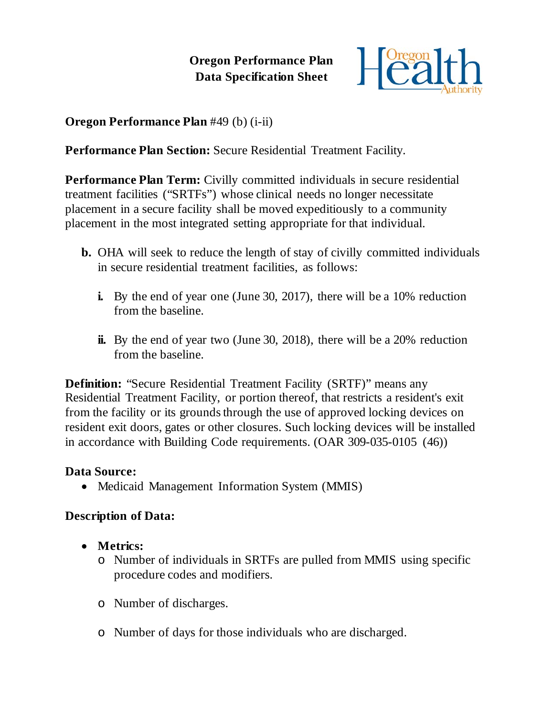**Oregon Performance Plan Data Specification Sheet**



**Oregon Performance Plan** #49 (b) (i-ii)

**Performance Plan Section:** Secure Residential Treatment Facility.

**Performance Plan Term:** Civilly committed individuals in secure residential treatment facilities ("SRTFs") whose clinical needs no longer necessitate placement in a secure facility shall be moved expeditiously to a community placement in the most integrated setting appropriate for that individual.

- **b.** OHA will seek to reduce the length of stay of civilly committed individuals in secure residential treatment facilities, as follows:
	- **i.** By the end of year one (June 30, 2017), there will be a 10% reduction from the baseline.
	- **ii.** By the end of year two (June 30, 2018), there will be a 20% reduction from the baseline.

**Definition:** "Secure Residential Treatment Facility (SRTF)" means any Residential Treatment Facility, or portion thereof, that restricts a resident's exit from the facility or its grounds through the use of approved locking devices on resident exit doors, gates or other closures. Such locking devices will be installed in accordance with Building Code requirements. (OAR 309-035-0105 (46))

## **Data Source:**

• Medicaid Management Information System (MMIS)

## **Description of Data:**

- **Metrics:**
	- o Number of individuals in SRTFs are pulled from MMIS using specific procedure codes and modifiers.
	- o Number of discharges.
	- o Number of days for those individuals who are discharged.